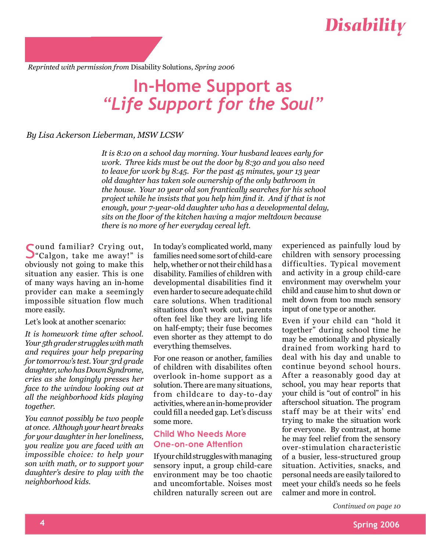*Disability* 

*Reprinted with permission from* Disability Solutions*, Spring 2006*

# **In-Home Support as**  *"Life Support for the Soul"*

#### *By Lisa Ackerson Lieberman, MSW LCSW*

*It is 8:10 on a school day morning. Your husband leaves early for work. Three kids must be out the door by 8:30 and you also need to leave for work by 8:45. For the past 45 minutes, your 13 year old daughter has taken sole ownership of the only bathroom in the house. Your 10 year old son frantically searches for his school project while he insists that you help him find it. And if that is not enough, your 7-year-old daughter who has a developmental delay, sits on the floor of the kitchen having a major meltdown because there is no more of her everyday cereal left.*

Cound familiar? Crying out, "Calgon, take me away!" is obviously not going to make this situation any easier. This is one of many ways having an in-home provider can make a seemingly impossible situation flow much more easily.

Let's look at another scenario:

*It is homework time after school. Your 5th grader struggles with math and requires your help preparing for tomorrow's test. Your 3rd grade daughter, who has Down Syndrome, cries as she longingly presses her face to the window looking out at all the neighborhood kids playing together.* 

*You cannot possibly be two people at once. Although your heart breaks for your daughter in her loneliness, you realize you are faced with an impossible choice: to help your son with math, or to support your daughter's desire to play with the neighborhood kids.* 

In today's complicated world, many families need some sort of child-care help, whether or not their child has a disability. Families of children with developmental disabilities find it even harder to secure adequate child care solutions. When traditional situations don't work out, parents often feel like they are living life on half-empty; their fuse becomes even shorter as they attempt to do everything themselves.

For one reason or another, families of children with disabilites often overlook in-home support as a solution. There are many situations, from childcare to day-to-day activities, where an in-home provider could fill a needed gap. Let's discuss some more.

### **Child Who Needs More One-on-one Attention**

If your child struggles with managing sensory input, a group child-care environment may be too chaotic and uncomfortable. Noises most children naturally screen out are

experienced as painfully loud by children with sensory processing difficulties. Typical movement and activity in a group child-care environment may overwhelm your child and cause him to shut down or melt down from too much sensory input of one type or another.

Even if your child can "hold it together" during school time he may be emotionally and physically drained from working hard to deal with his day and unable to continue beyond school hours. After a reasonably good day at school, you may hear reports that your child is "out of control" in his afterschool situation. The program staff may be at their wits' end trying to make the situation work for everyone. By contrast, at home he may feel relief from the sensory over-stimulation characteristic of a busier, less-structured group situation. Activities, snacks, and personal needs are easily tailored to meet your child's needs so he feels calmer and more in control.

*Continued on page 10*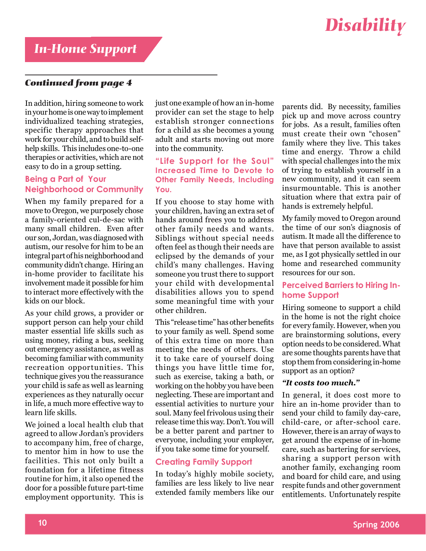# *Disability*

## *Continued from page 4*

In addition, hiring someone to work in your home is one way to implement individualized teaching strategies, specific therapy approaches that work for your child, and to build selfhelp skills. This includes one-to-one therapies or activities, which are not easy to do in a group setting.

### **Being a Part of Your Neighborhood or Community**

When my family prepared for a move to Oregon, we purposely chose a family-oriented cul-de-sac with many small children. Even after our son, Jordan, was diagnosed with autism, our resolve for him to be an integral part of his neighborhood and community didn't change. Hiring an in-home provider to facilitate his involvement made it possible for him to interact more effectively with the kids on our block.

As your child grows, a provider or support person can help your child master essential life skills such as using money, riding a bus, seeking out emergency assistance, as well as becoming familiar with community recreation opportunities. This technique gives you the reassurance your child is safe as well as learning experiences as they naturally occur in life, a much more effective way to learn life skills.

We joined a local health club that agreed to allow Jordan's providers to accompany him, free of charge, to mentor him in how to use the facilities. This not only built a foundation for a lifetime fitness routine for him, it also opened the door for a possible future part-time employment opportunity. This is

just one example of how an in-home provider can set the stage to help establish stronger connections for a child as she becomes a young adult and starts moving out more into the community.

### **"Life Support for the Soul" Increased Time to Devote to Other Family Needs, Including You.**

If you choose to stay home with your children, having an extra set of hands around frees you to address other family needs and wants. Siblings without special needs often feel as though their needs are eclipsed by the demands of your child's many challenges. Having someone you trust there to support your child with developmental disabilities allows you to spend some meaningful time with your other children.

This "release time" has other benefits to your family as well. Spend some of this extra time on more than meeting the needs of others. Use it to take care of yourself doing things you have little time for, such as exercise, taking a bath, or working on the hobby you have been neglecting. These are important and essential activities to nurture your soul. Many feel frivolous using their release time this way. Don't. You will be a better parent and partner to everyone, including your employer, if you take some time for yourself.

#### **Creating Family Support**

In today's highly mobile society, families are less likely to live near extended family members like our

parents did. By necessity, families pick up and move across country for jobs. As a result, families often must create their own "chosen" family where they live. This takes time and energy. Throw a child with special challenges into the mix of trying to establish yourself in a new community, and it can seem insurmountable. This is another situation where that extra pair of hands is extremely helpful.

My family moved to Oregon around the time of our son's diagnosis of autism. It made all the difference to have that person available to assist me, as I got physically settled in our home and researched community resources for our son.

## **Perceived Barriers to Hiring Inhome Support**

Hiring someone to support a child in the home is not the right choice for every family. However, when you are brainstorming solutions, every option needs to be considered. What are some thoughts parents have that stop them from considering in-home support as an option?

#### *"It costs too much."*

In general, it does cost more to hire an in-home provider than to send your child to family day-care, child-care, or after-school care. However, there is an array of ways to get around the expense of in-home care, such as bartering for services, sharing a support person with another family, exchanging room and board for child care, and using respite funds and other government entitlements. Unfortunately respite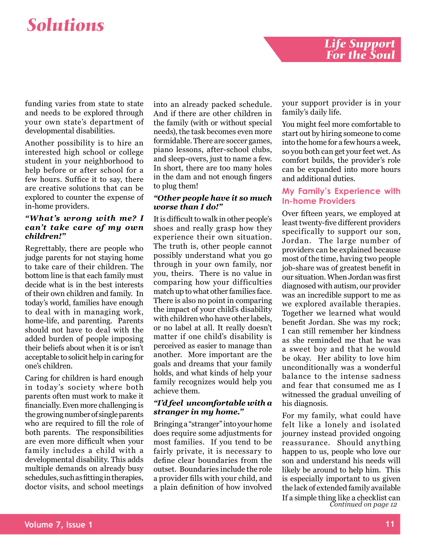#### **In-home Providers**

Over fifteen years, we employed at least twenty-five different providers specifically to support our son, Jordan. The large number of providers can be explained because most of the time, having two people job-share was of greatest benefit in our situation. When Jordan was first diagnosed with autism, our provider was an incredible support to me as we explored available therapies. Together we learned what would benefit Jordan. She was my rock; I can still remember her kindness as she reminded me that he was a sweet boy and that he would be okay. Her ability to love him unconditionally was a wonderful balance to the intense sadness and fear that consumed me as I witnessed the gradual unveiling of his diagnosis.

If a simple thing like a checklist can *Continued on page 12* For my family, what could have felt like a lonely and isolated journey instead provided ongoing reassurance. Should anything happen to us, people who love our son and understand his needs will likely be around to help him. This is especially important to us given the lack of extended family available

funding varies from state to state and needs to be explored through your own state's department of developmental disabilities.

Another possibility is to hire an interested high school or college student in your neighborhood to help before or after school for a few hours. Suffice it to say, there are creative solutions that can be explored to counter the expense of in-home providers.

#### *"What's wrong with me? I can't take care of my own children!"*

Regrettably, there are people who judge parents for not staying home to take care of their children. The bottom line is that each family must decide what is in the best interests of their own children and family. In today's world, families have enough to deal with in managing work, home-life, and parenting. Parents should not have to deal with the added burden of people imposing their beliefs about when it is or isn't acceptable to solicit help in caring for one's children.

Caring for children is hard enough in today's society where both parents often must work to make it financially. Even more challenging is the growing number of single parents who are required to fill the role of both parents. The responsibilities are even more difficult when your family includes a child with a developmental disability. This adds multiple demands on already busy schedules, such as fitting in the rapies, doctor visits, and school meetings

into an already packed schedule. And if there are other children in the family (with or without special needs), the task becomes even more formidable. There are soccer games, piano lessons, after-school clubs, and sleep-overs, just to name a few. In short, there are too many holes in the dam and not enough fingers to plug them!

#### *"Other people have it so much worse than I do!"*

It is difficult to walk in other people's shoes and really grasp how they experience their own situation. The truth is, other people cannot possibly understand what you go through in your own family, nor you, theirs. There is no value in comparing how your difficulties match up to what other families face. There is also no point in comparing the impact of your child's disability with children who have other labels, or no label at all. It really doesn't matter if one child's disability is perceived as easier to manage than another. More important are the goals and dreams that your family holds, and what kinds of help your family recognizes would help you achieve them.

#### *"I'd feel uncomfortable with a stranger in my home."*

Bringing a "stranger" into your home does require some adjustments for most families. If you tend to be fairly private, it is necessary to define clear boundaries from the outset. Boundaries include the role a provider fills with your child, and a plain definition of how involved

# *Solutions*

# *Life Support For the Soul*

your support provider is in your

You might feel more comfortable to start out by hiring someone to come into the home for a few hours a week, so you both can get your feet wet. As comfort builds, the provider's role can be expanded into more hours

**My Family's Experience with** 

family's daily life.

and additional duties.